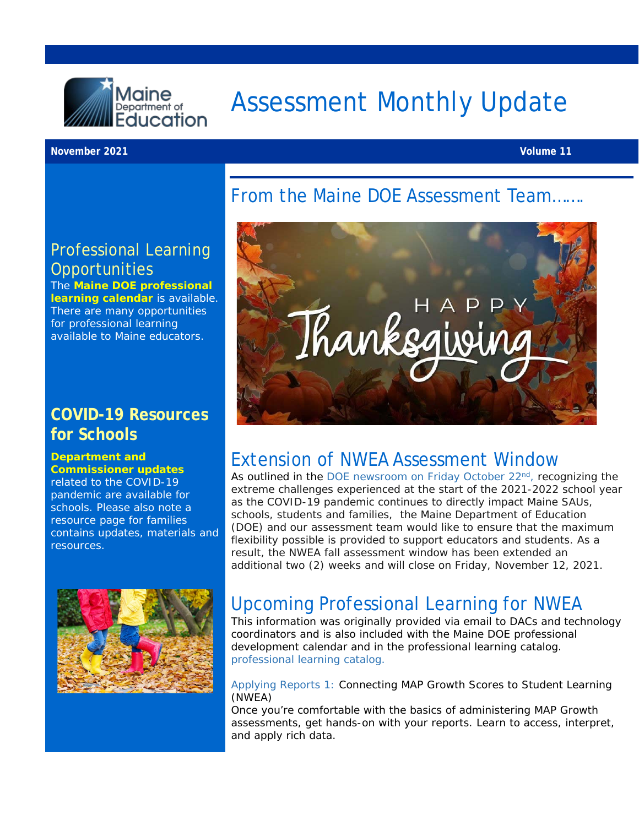

# Assessment Monthly Update

**November 2021 Volume 11**

### From the Maine DOE Assessment Team…….

### Professional Learning **Opportunities**

The **[Maine DOE professional](https://www.maine.gov/doe/calendar)  [learning calendar](https://www.maine.gov/doe/calendar)** is available. There are many opportunities for professional learning available to Maine educators.

### **COVID-19 Resources for Schools**

#### **[Department and](https://www.maine.gov/doe/covid-19/toolkit)  [Commissioner updates](https://www.maine.gov/doe/covid-19/toolkit)**

related to the COVID-19 pandemic are available for schools. Please also note a resource page for families contains updates, materials and resources.





### Extension of NWEA Assessment Window

As outlined in the DOE newsroom on Friday October 22<sup>nd</sup>, recognizing the extreme challenges experienced at the start of the 2021-2022 school year as the COVID-19 pandemic continues to directly impact Maine SAUs, schools, students and families, the Maine Department of Education (DOE) and our assessment team would like to ensure that the maximum flexibility possible is provided to support educators and students. As a result, the NWEA fall assessment window has been extended an additional two (2) weeks and will close on Friday, November 12, 2021.

## Upcoming Professional Learning for NWEA

This information was originally provided via email to DACs and technology coordinators and is also included with the [Maine DOE professional](https://www.maine.gov/doe/calendar)  [development calendar](https://www.maine.gov/doe/calendar) and in the professional learning catalog. [professional learning catalog.](https://www.maine.gov/doe/calendar) 

Applying Reports 1: Connecting MAP Growth Scores to Student Learning (NWEA)

Once you're comfortable with the basics of administering MAP Growth assessments, get hands-on with your reports. Learn to access, interpret, and apply rich data.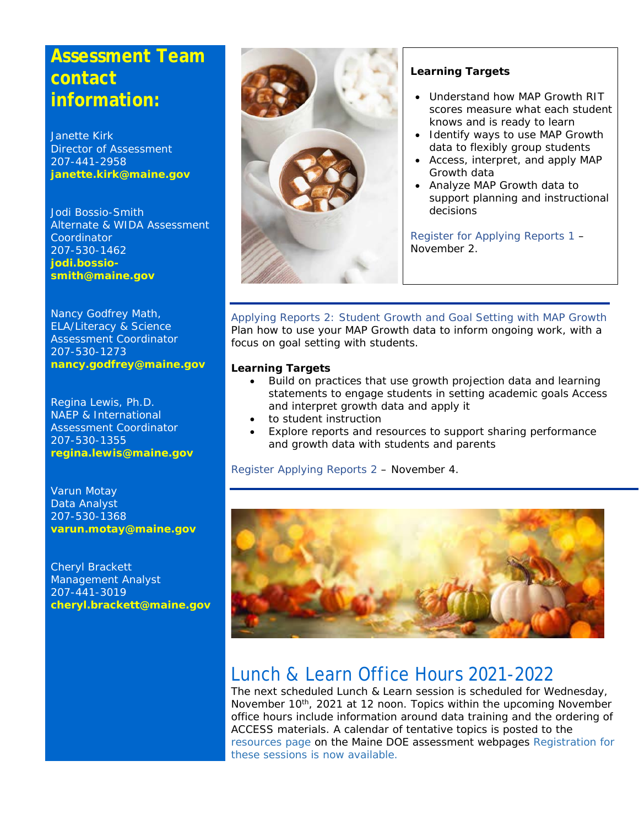### **Assessment Team contact information:**

Janette Kirk Director of Assessment 207-441-2958 **[janette.kirk@maine.gov](mailto:janette.kirk@maine.gov)**

Jodi Bossio-Smith Alternate & WIDA Assessment Coordinator 207-530-1462 **[jodi.bossio](mailto:jodi.bossio-smith@maine.gov)[smith@maine.gov](mailto:jodi.bossio-smith@maine.gov)**

Nancy Godfrey Math, ELA/Literacy & Science Assessment Coordinator 207-530-1273 **[nancy.godfrey@maine.gov](mailto:nancy.godfrey@maine.gov)**

Regina Lewis, Ph.D. NAEP & International Assessment Coordinator 207-530-1355 **[regina.lewis@maine.gov](mailto:regina.lewis@maine.gov)**

Varun Motay Data Analyst 207-530-1368 **[varun.motay@maine.gov](mailto:varun.motay@maine.gov)**

Cheryl Brackett Management Analyst 207-441-3019 **[cheryl.brackett@maine.gov](mailto:cheryl.brackett@maine.gov)**



#### **Learning Targets**

- Understand how MAP Growth RIT scores measure what each student knows and is ready to learn
- Identify ways to use MAP Growth data to flexibly group students
- Access, interpret, and apply MAP Growth data
- Analyze MAP Growth data to support planning and instructional decisions

[Register for Applying Reports 1](https://web.cvent.com/event/b747dbbc-cd95-4f2f-95ce-23c53e653bbe/summary) – November 2.

Applying Reports 2: Student Growth and Goal Setting with MAP Growth Plan how to use your MAP Growth data to inform ongoing work, with a focus on goal setting with students.

#### **Learning Targets**

- Build on practices that use growth projection data and learning statements to engage students in setting academic goals Access and interpret growth data and apply it
- to student instruction
- Explore reports and resources to support sharing performance and growth data with students and parents

[Register Applying Reports 2](https://web.cvent.com/event/48902fbf-9d30-42e4-8559-adc4123755fb/summary) – November 4.



### Lunch & Learn Office Hours 2021-2022

The next scheduled Lunch & Learn session is scheduled for Wednesday, November 10<sup>th</sup>, 2021 at 12 noon. Topics within the upcoming November office hours include information around data training and the ordering of ACCESS materials. A calendar of tentative topics is posted to the [resources page](https://www.maine.gov/doe/Testing_Accountability/MECAS/supports) on the Maine DOE assessment webpages [Registration for](https://networkmaine.zoom.us/meeting/register/tZIucuirrz0tGtT4YUZDjXPbAEDZ-IaOCvlU)  [these sessions is now available.](https://networkmaine.zoom.us/meeting/register/tZIucuirrz0tGtT4YUZDjXPbAEDZ-IaOCvlU)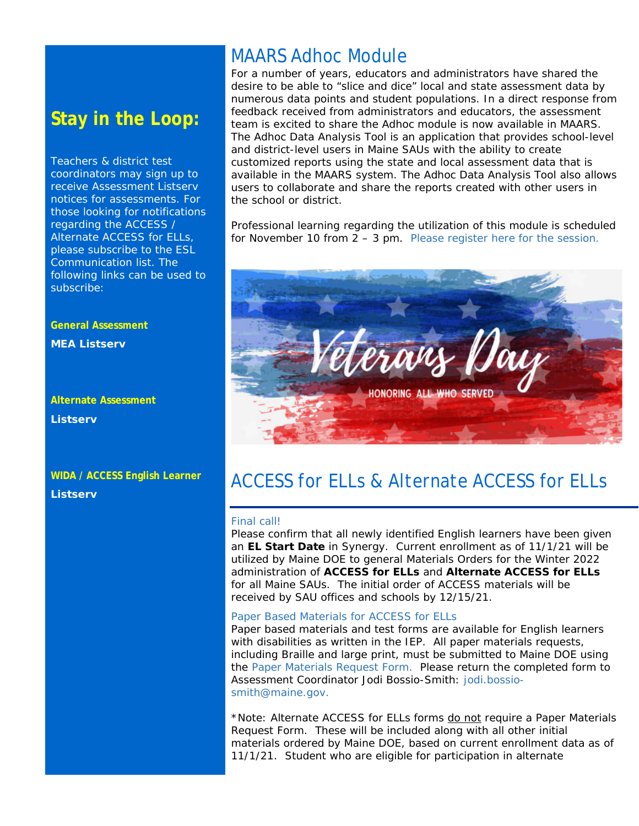### **Stay in the Loop:**

Teachers & district test coordinators may sign up to receive Assessment Listserv notices for assessments. For those looking for notifications regarding the ACCESS / Alternate ACCESS for ELLs, please subscribe to the ESL Communication list. The following links can be used to subscribe:

#### **General Assessment**

**MEA Listserv** 

### **Alternate Assessment Listserv**

#### **WIDA / ACCESS English Learner Listserv**

### MAARS Adhoc Module

For a number of years, educators and administrators have shared the desire to be able to "slice and dice" local and state assessment data by numerous data points and student populations. In a direct response from feedback received from administrators and educators, the assessment team is excited to share the Adhoc module is now available in MAARS. The Adhoc Data Analysis Tool is an application that provides school-level and district-level users in Maine SAUs with the ability to create customized reports using the state and local assessment data that is available in the MAARS system. The Adhoc Data Analysis Tool also allows users to collaborate and share the reports created with other users in the school or district.

Professional learning regarding the utilization of this module is scheduled for November 10 from 2 – 3 pm. [Please register here for the session.](https://networkmaine.zoom.us/meeting/register/tZErd-itqTspEtGfpdCxEtpkNErFSkJWD-d-)

### ACCESS for ELLs & Alternate ACCESS for ELLs

#### Final call!

Please confirm that all newly identified English learners have been given an **EL Start Date** in Synergy. Current enrollment as of 11/1/21 will be utilized by Maine DOE to general Materials Orders for the Winter 2022 administration of **ACCESS for ELLs** and **Alternate ACCESS for ELLs** for all Maine SAUs. The initial order of ACCESS materials will be received by SAU offices and schools by 12/15/21.

#### Paper Based Materials for ACCESS for ELLs

Paper based materials and test forms are available for English learners with disabilities as written in the IEP. All paper materials requests, including Braille and large print, must be submitted to Maine DOE using the [Paper Materials Request Form.](https://www.maine.gov/doe/sites/maine.gov.doe/files/inline-files/Paper_Version_Request_21-22.docx) Please return the completed form to Assessment Coordinator Jodi Bossio-Smith: [jodi.bossio](mailto:jodi.bossio-smith@maine.gov)[smith@maine.gov.](mailto:jodi.bossio-smith@maine.gov)

\*Note: Alternate ACCESS for ELLs forms do not require a Paper Materials Request Form. These will be included along with all other initial materials ordered by Maine DOE, based on current enrollment data as of 11/1/21. Student who are eligible for participation in alternate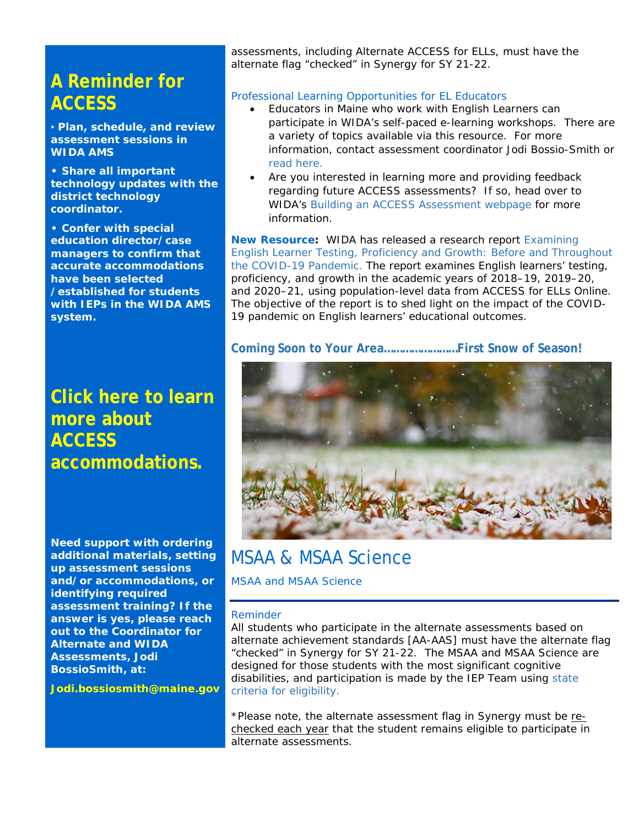### **A Reminder for ACCESS**

**▪ Plan, schedule, and review assessment sessions in WIDA AMS** 

**• Share all important technology updates with the district technology coordinator.** 

**• Confer with special education director/case managers to confirm that accurate accommodations have been selected /established for students with IEPs in the WIDA AMS system.** 

### **[Click here to learn](https://www.maine.gov/doe/sites/maine.gov.doe/files/inline-files/ACCESS-Accessibility-Accommodations-Supplement_0.pdf) [more about](https://www.maine.gov/doe/sites/maine.gov.doe/files/inline-files/ACCESS-Accessibility-Accommodations-Supplement_0.pdf)  [ACCESS](https://www.maine.gov/doe/sites/maine.gov.doe/files/inline-files/ACCESS-Accessibility-Accommodations-Supplement_0.pdf)  [accommodations.](https://www.maine.gov/doe/sites/maine.gov.doe/files/inline-files/ACCESS-Accessibility-Accommodations-Supplement_0.pdf)**

**Need support with ordering additional materials, setting up assessment sessions and/or accommodations, or identifying required assessment training? If the answer is yes, please reach out to the Coordinator for Alternate and WIDA Assessments, Jodi BossioSmith, at:**

**[Jodi.bossiosmith@maine.gov](mailto:Jodi.bossiosmith@maine.gov)**

assessments, including Alternate ACCESS for ELLs, must have the alternate flag "checked" in Synergy for SY 21-22.

#### Professional Learning Opportunities for EL Educators

- Educators in Maine who work with English Learners can participate in WIDA's self-paced e-learning workshops. There are a variety of topics available via this resource. For more information, contact assessment coordinator Jodi Bossio-Smith or [read here.](https://gcc02.safelinks.protection.outlook.com/?url=https%3A%2F%2Fapp.explore.wisc.edu%2Fe%2Fer%3Fs%3D1427524768%26lid%3D22242%26elqTrackId%3D973915F4CDEE4D68F9CB05ED15A46359%26elq%3D13ee1a89674045d9ac584af2a4205c86%26elqaid%3D19930%26elqat%3D1&data=04%7C01%7CJodi.Bossio-Smith%40maine.gov%7C3252278ceb344516d53308d97889ad40%7C413fa8ab207d4b629bcdea1a8f2f864e%7C0%7C0%7C637673354968572838%7CUnknown%7CTWFpbGZsb3d8eyJWIjoiMC4wLjAwMDAiLCJQIjoiV2luMzIiLCJBTiI6Ik1haWwiLCJXVCI6Mn0%3D%7C1000&sdata=1c2aiiMxSREVcK32nBxhOPW7ADvok96G%2BgDiXgY%2BlvE%3D&reserved=0)
- Are you interested in learning more and providing feedback regarding future ACCESS assessments? If so, head over to WIDA's Building an [ACCESS Assessment webpage](https://wida.wisc.edu/assess/building-wida-assessment?utm_source=CR-MM092721&utm_medium=email&utm_campaign=MondayMail&utm_content=BuildingWIDAAssessment) for more information.

**New Resource:** WIDA has released a research report [Examining](https://wida.wisc.edu/resources/examining-english-learner-testing-proficiency-and-growth-and-throughout-covid-19-pandemic?utm_source=CR-WW102021&utm_medium=email&utm_campaign=WIDAWednesday&utm_content=ExaminingELProficiencyGrowthDuringCOVID)  [English Learner Testing, Proficiency and Growth: Before and Throughout](https://wida.wisc.edu/resources/examining-english-learner-testing-proficiency-and-growth-and-throughout-covid-19-pandemic?utm_source=CR-WW102021&utm_medium=email&utm_campaign=WIDAWednesday&utm_content=ExaminingELProficiencyGrowthDuringCOVID)  [the COVID-19 Pandemic.](https://wida.wisc.edu/resources/examining-english-learner-testing-proficiency-and-growth-and-throughout-covid-19-pandemic?utm_source=CR-WW102021&utm_medium=email&utm_campaign=WIDAWednesday&utm_content=ExaminingELProficiencyGrowthDuringCOVID) The report examines English learners' testing, proficiency, and growth in the academic years of 2018–19, 2019–20, and 2020–21, using population-level data from ACCESS for ELLs Online. The objective of the report is to shed light on the impact of the COVID-19 pandemic on English learners' educational outcomes.

#### **Coming Soon to Your Area……………………First Snow of Season!**



### [MSAA](https://connection.nwea.org/s/article/How-to-move-students-between-districts?language=en_US) & MSAA Science

MSAA and MSAA Science

#### Reminder

All students who participate in the alternate assessments based on alternate achievement standards [AA-AAS] must have the alternate flag "checked" in Synergy for SY 21-22. The MSAA and MSAA Science are designed for those students with the most significant cognitive disabilities, and participation is made by the IEP Team using [state](https://www.maine.gov/doe/sites/maine.gov.doe/files/inline-files/Maine%20Alternate%20Assessment%20Participation%20Checklist_1.pdf)  [criteria for eligibility.](https://www.maine.gov/doe/sites/maine.gov.doe/files/inline-files/Maine%20Alternate%20Assessment%20Participation%20Checklist_1.pdf)

\*Please note, the alternate assessment flag in Synergy must be rechecked each year that the student remains eligible to participate in alternate assessments.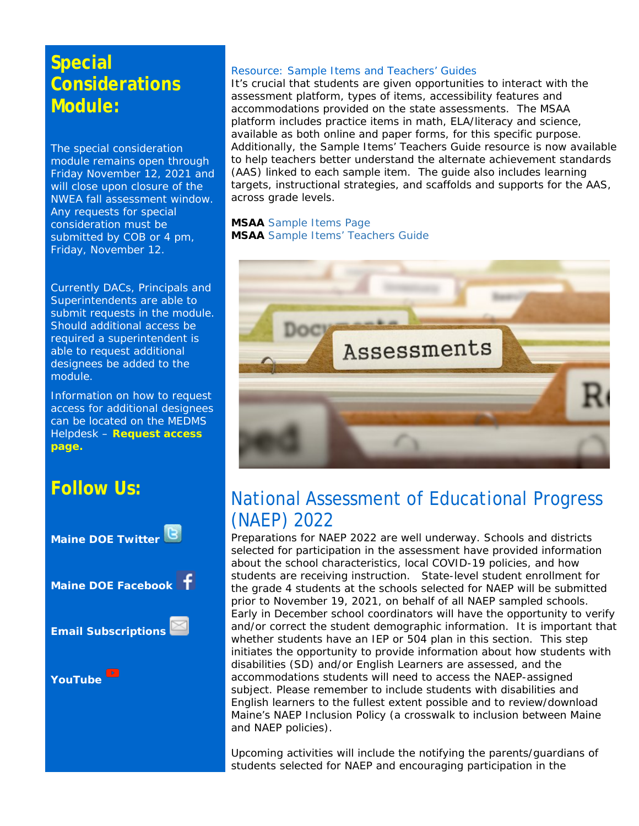### **Special Considerations Module:**

The special consideration module remains open through Friday November 12, 2021 and will close upon closure of the NWEA fall assessment window. Any requests for special consideration must be submitted by COB or 4 pm, Friday, November 12.

Currently DACs, Principals and Superintendents are able to submit requests in the module. Should additional access be required a superintendent is able to request additional designees be added to the module.

Information on how to request access for additional designees can be located on the MEDMS Helpdesk – **Request access page.**

### **Follow Us:**



#### Resource: Sample Items and Teachers' Guides

It's crucial that students are given opportunities to interact with the assessment platform, types of items, accessibility features and accommodations provided on the state assessments. The MSAA platform includes practice items in math, ELA/literacy and science, available as both online and paper forms, for this specific purpose. Additionally, the Sample Items' Teachers Guide resource is now available to help teachers better understand the alternate achievement standards (AAS) linked to each sample item. The guide also includes learning targets, instructional strategies, and scaffolds and supports for the AAS, across grade levels.

**MSAA** [Sample Items Page](https://www.msaaassessment.org/tap/sample-items) **MSAA** [Sample Items' Teachers Guide](https://www.msaaassessment.org/tap/sample-items/teacher-guides)



### National Assessment of Educational Progress (NAEP) 2022

Preparations for NAEP 2022 are well underway. Schools and districts selected for participation in the assessment have provided information about the school characteristics, local COVID-19 policies, and how students are receiving instruction. State-level student enrollment for the grade 4 students at the schools selected for NAEP will be submitted prior to November 19, 2021, on behalf of all NAEP sampled schools. Early in December school coordinators will have the opportunity to verify and/or correct the student demographic information. It is important that whether students have an IEP or 504 plan in this section. This step initiates the opportunity to provide information about how students with disabilities (SD) and/or English Learners are assessed, and the accommodations students will need to access the NAEP-assigned subject. Please remember to include students with disabilities and English learners to the fullest extent possible and to review/download Maine's NAEP Inclusion Policy (a crosswalk to inclusion between Maine and NAEP policies).

Upcoming activities will include the notifying the parents/guardians of students selected for NAEP and encouraging participation in the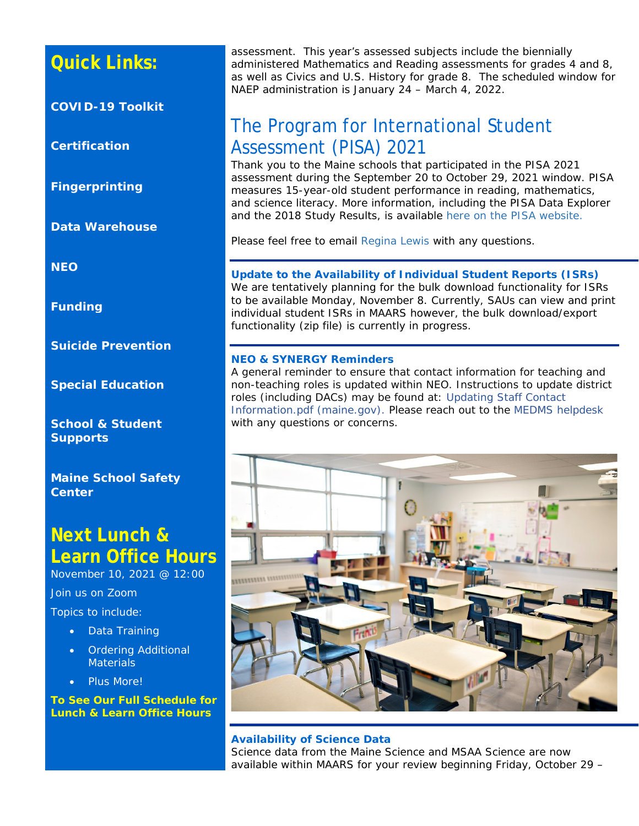### **Quick Links:**

**[COVID-19 Toolkit](https://www.maine.gov/doe/covid-19/toolkit)**

**[Certification](http://maine.gov/doe/cert)**

**[Fingerprinting](http://maine.gov/doe/cert)**

**[Data Warehouse](https://www.maine.gov/doe/data-reporting/reporting/warehouse)**

**[NEO](https://neo.maine.gov/DOE/NEO/Dashboard)**

**[Funding](https://www.maine.gov/doe/funding/accounting)**

**[Suicide Prevention](https://www.maine.gov/doe/suicideprevention)**

**[Special Education](https://www.maine.gov/doe/learning/specialed)**

**[School & Student](https://www.maine.gov/doe/schools/safeschools)  [Supports](https://www.maine.gov/doe/schools/safeschools)**

**[Maine School Safety](https://www.maine.gov/doe/safety)  [Center](https://www.maine.gov/doe/safety)**

### **Next Lunch & Learn Office Hours**

November 10, 2021 @ 12:00

Join us on Zoom

Topics to include:

- Data Training
- Ordering Additional **Materials**
- Plus More!

**[To See Our Full Schedule for](https://www.maine.gov/doe/node/456)  [Lunch & Learn Office Hours](https://www.maine.gov/doe/node/456)**

assessment. This year's assessed subjects include the biennially administered Mathematics and Reading assessments for grades 4 and 8, as well as Civics and U.S. History for grade 8. The scheduled window for NAEP administration is January 24 – March 4, 2022.

### The Program for International Student Assessment (PISA) 2021

Thank you to the Maine schools that participated in the PISA 2021 assessment during the September 20 to October 29, 2021 window. PISA measures 15-year-old student performance in reading, mathematics, and science literacy. More information, including the PISA Data Explorer and the 2018 Study Results, is available [here on the PISA website.](http://nces.ed.gov/surveys/pisa)

Please feel free to email [Regina Lewis](mailto:Regina.Lewis@maine.gov) with any questions.

#### **Update to the Availability of Individual Student Reports (ISRs)**

We are tentatively planning for the bulk download functionality for ISRs to be available Monday, November 8. Currently, SAUs can view and print individual student ISRs in MAARS however, the bulk download/export functionality (zip file) is currently in progress.

#### **NEO & SYNERGY Reminders**

A general reminder to ensure that contact information for teaching and non-teaching roles is updated within NEO. Instructions to update district roles (including DACs) may be found at: [Updating Staff Contact](https://www.maine.gov/doe/sites/maine.gov.doe/files/inline-files/Updating%20Staff%20Contact%20Information.pdf)  [Information.pdf \(maine.gov\).](https://www.maine.gov/doe/sites/maine.gov.doe/files/inline-files/Updating%20Staff%20Contact%20Information.pdf) Please reach out to the [MEDMS helpdesk](mailto:MEDMS.Helpdesk@maine.gov) with any questions or concerns.



#### **Availability of Science Data**

Science data from the Maine Science and MSAA Science are now available within MAARS for your review beginning Friday, October 29 –